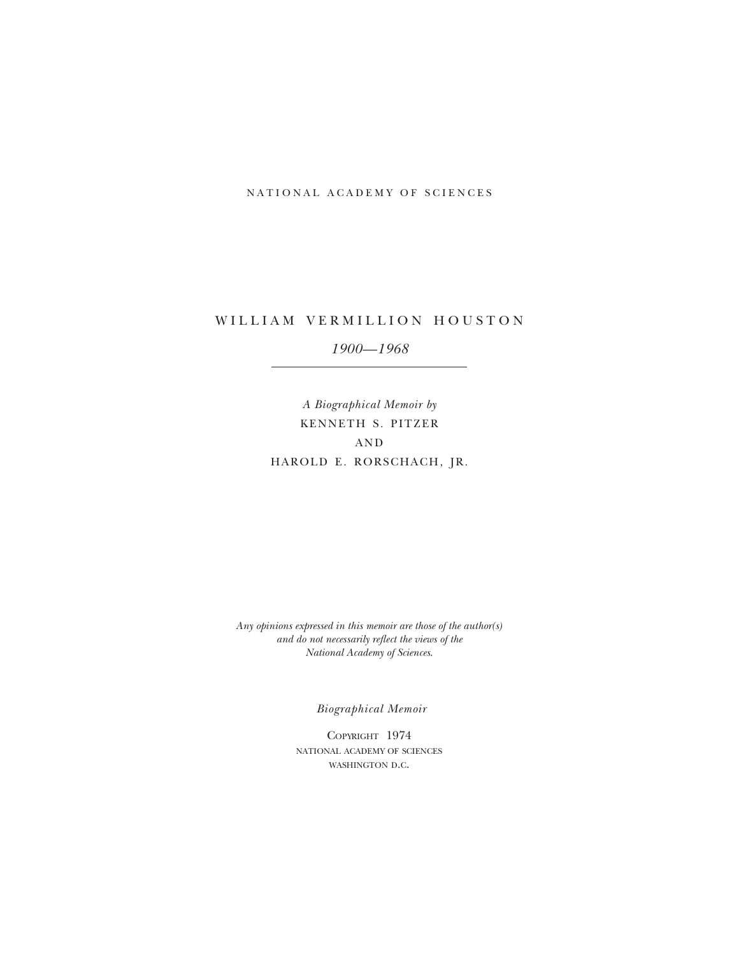## NATIONAL ACADEMY OF SCIENCES

# WILLIAM VERMILLION HOUSTON *1900—1968*

*A Biographical Memoir by* KENNETH S. PITZER  $AND$ HAROLD E. RORSCHACH, JR.

*Any opinions expressed in this memoir are those of the author(s) and do not necessarily reflect the views of the National Academy of Sciences*.

*Biographical Memoir*

COPYRIGHT 1974 national academy of sciences WASHINGTON D.C.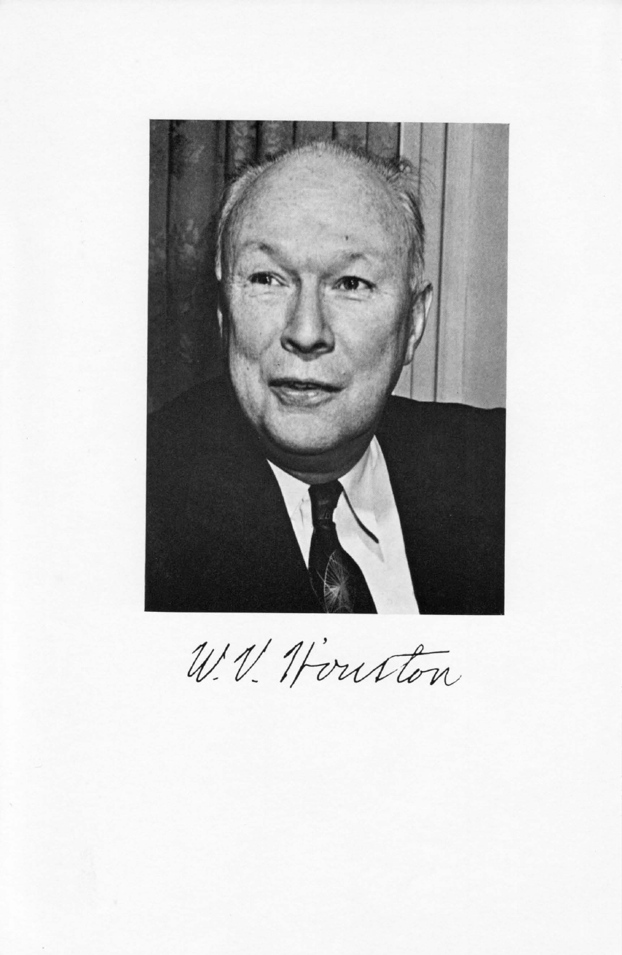

W.V. Houston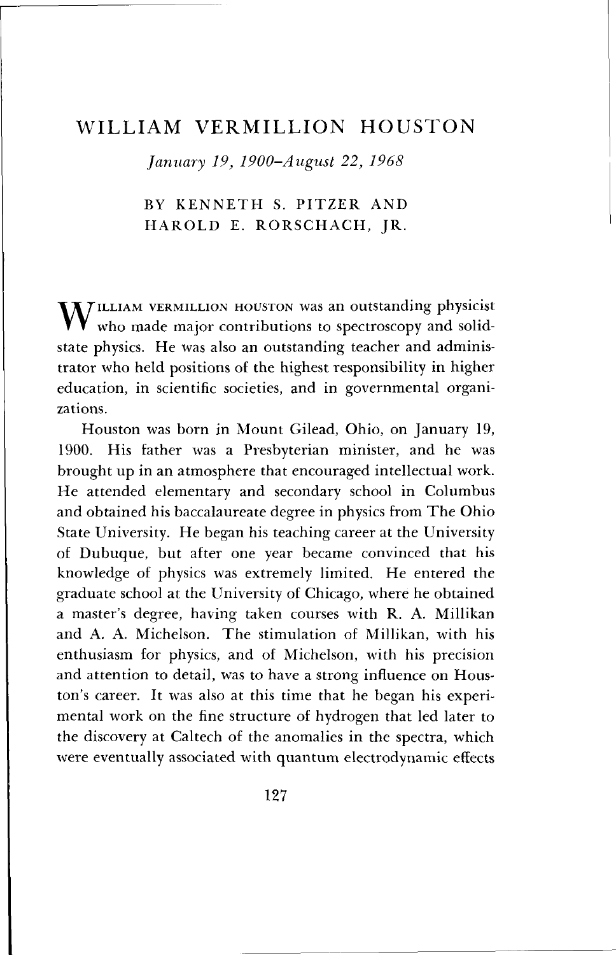## WILLIAM VERMILLION HOUSTON

*January 19, 1900-August 22, 1968*

## BY KENNETH S. PITZER AND HAROLD E. RORSCHACH, JR.

 $\mathbf{M}$ TILLIAM VERMILLION HOUSTON was an outstanding physicist who made major contributions to spectroscopy and solidstate physics. He was also an outstanding teacher and administrator who held positions of the highest responsibility in higher education, in scientific societies, and in governmental organizations.

Houston was born in Mount Gilead, Ohio, on January 19, 1900. His father was a Presbyterian minister, and he was brought up in an atmosphere that encouraged intellectual work. He attended elementary and secondary school in Columbus and obtained his baccalaureate degree in physics from The Ohio State University. He began his teaching career at the University of Dubuque, but after one year became convinced that his knowledge of physics was extremely limited. He entered the graduate school at the University of Chicago, where he obtained a master's degree, having taken courses with R. A. Millikan and A. A. Michelson. The stimulation of Millikan, with his enthusiasm for physics, and of Michelson, with his precision and attention to detail, was to have a strong influence on Houston's career. It was also at this time that he began his experimental work on the fine structure of hydrogen that led later to the discovery at Caltech of the anomalies in the spectra, which were eventually associated with quantum electrodynamic effects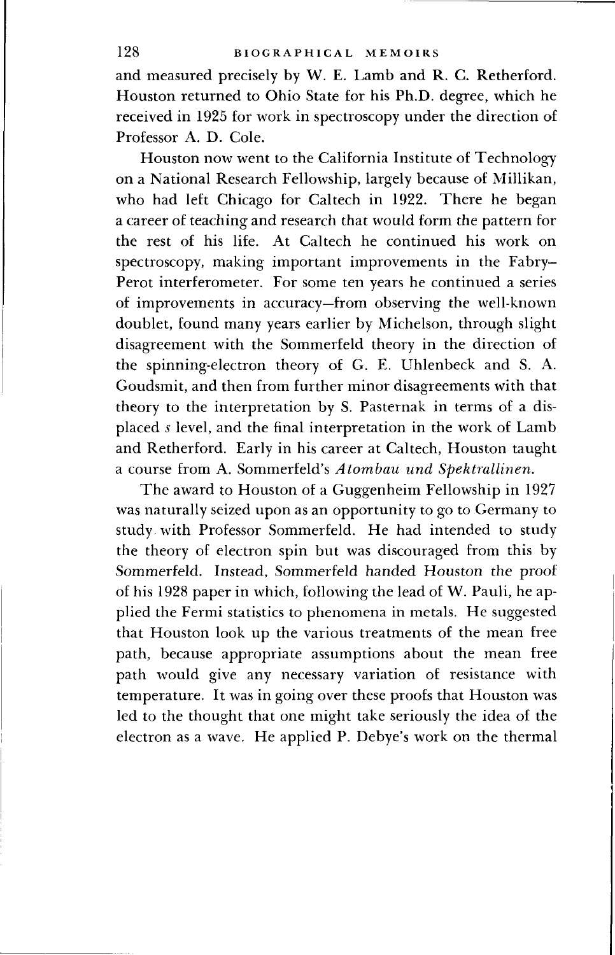and measured precisely by W. E. Lamb and R. C. Retherford. Houston returned to Ohio State for his Ph.D. degree, which he received in 1925 for work in spectroscopy under the direction of Professor A. D. Cole.

Houston now went to the California Institute of Technology on a National Research Fellowship, largely because of Millikan, who had left Chicago for Caltech in 1922. There he began a career of teaching and research that would form the pattern for the rest of his life. At Caltech he continued his work on spectroscopy, making important improvements in the Fabry-Perot interferometer. For some ten years he continued a series of improvements in accuracy—from observing the well-known doublet, found many years earlier by Michelson, through slight disagreement with the Sommerfeld theory in the direction of the spinning-electron theory of G. E. Uhlenbeck and S. A. Goudsmit, and then from further minor disagreements with that theory to the interpretation by S. Pasternak in terms of a displaced *s* level, and the final interpretation in the work of Lamb and Retherford. Early in his career at Caltech, Houston taught a course from A. Sommerfeld's *Atombau und Spektrallinen.*

The award to Houston of a Guggenheim Fellowship in 1927 was naturally seized upon as an opportunity to go to Germany to study with Professor Sommerfeld. He had intended to study the theory of electron spin but was discouraged from this by Sommerfeld. Instead, Sommerfeld handed Houston the proof of his 1928 paper in which, following the lead of W. Pauli, he applied the Fermi statistics to phenomena in metals. He suggested that Houston look up the various treatments of the mean free path, because appropriate assumptions about the mean free path would give any necessary variation of resistance with temperature. It was in going over these proofs that Houston was led to the thought that one might take seriously the idea of the electron as a wave. He applied P. Debye's work on the thermal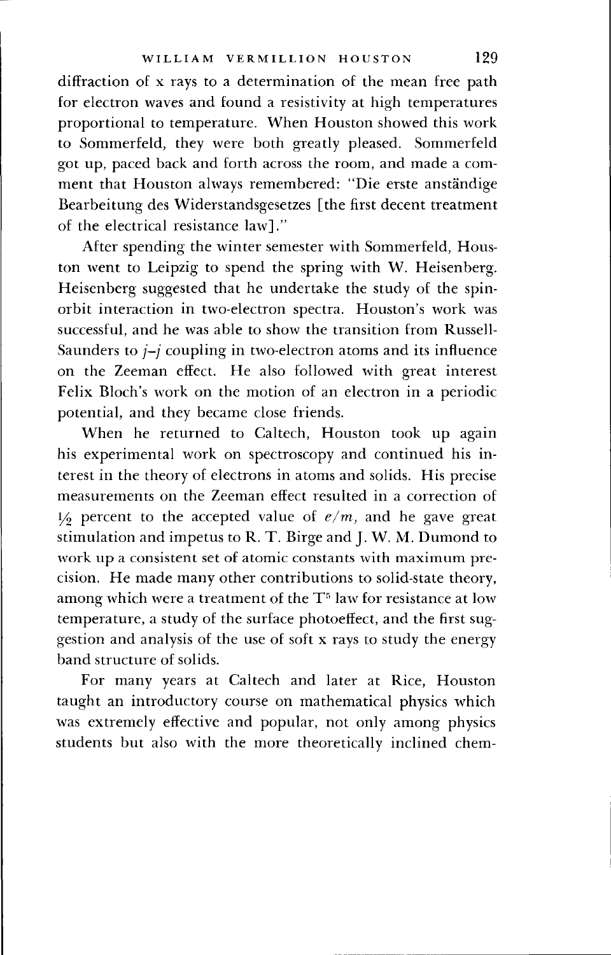diffraction of x rays to a determination of the mean free path for electron waves and found a resistivity at high temperatures proportional to temperature. When Houston showed this work to Sommerfeld, they were both greatly pleased. Sommerfeld got up, paced back and forth across the room, and made a comment that Houston always remembered: "Die erste anstandige Bearbeitung des Widerstandsgesetzes [the first decent treatment of the electrical resistance law]."

After spending the winter semester with Sommerfeld, Houston went to Leipzig to spend the spring with W. Heisenberg. Heisenberg suggested that he undertake the study of the spinorbit interaction in two-electron spectra. Houston's work was successful, and he was able to show the transition from Russell-Saunders to  $j-j$  coupling in two-electron atoms and its influence on the Zeeman effect. He also followed with great interest Felix Bloch's work on the motion of an electron in a periodic potential, and they became close friends.

When he returned to Caltech, Houston took up again his experimental work on spectroscopy and continued his interest in the theory of electrons in atoms and solids. His precise measurements on the Zeeman effect resulted in a correction of  $1/2$  percent to the accepted value of  $e/m$ , and he gave great stimulation and impetus to R. T. Birge and J. W. M. Dumond to work up a consistent set of atomic constants with maximum precision. He made many other contributions to solid-state theory, among which were a treatment of the  $\mathrm{T}^5$  law for resistance at low temperature, a study of the surface photoeffect, and the first suggestion and analysis of the use of soft x rays to study the energy band structure of solids.

For many years at Caltech and later at Rice, Houston taught an introductory course on mathematical physics which was extremely effective and popular, not only among physics students but also with the more theoretically inclined chem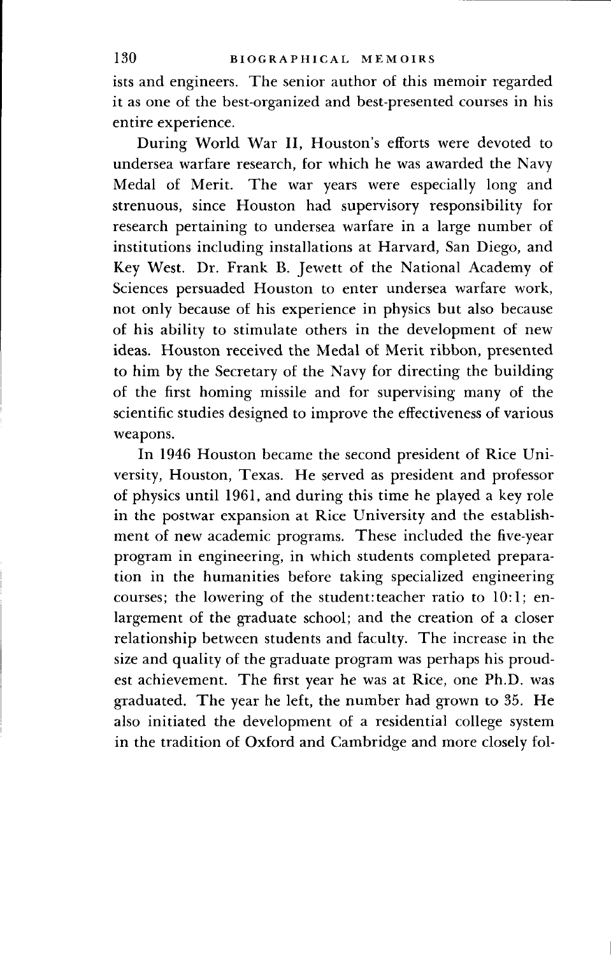ists and engineers. The senior author of this memoir regarded it as one of the best-organized and best-presented courses in his entire experience.

During World War II, Houston's efforts were devoted to undersea warfare research, for which he was awarded the Navy Medal of Merit. The war years were especially long and strenuous, since Houston had supervisory responsibility for research pertaining to undersea warfare in a large number of institutions including installations at Harvard, San Diego, and Key West. Dr. Frank B. Jewett of the National Academy of Sciences persuaded Houston to enter undersea warfare work, not only because of his experience in physics but also because of his ability to stimulate others in the development of new ideas. Houston received the Medal of Merit ribbon, presented to him by the Secretary of the Navy for directing the building of the first homing missile and for supervising many of the scientific studies designed to improve the effectiveness of various weapons.

In 1946 Houston became the second president of Rice University, Houston, Texas. He served as president and professor of physics until 1961, and during this time he played a key role in the postwar expansion at Rice University and the establishment of new academic programs. These included the five-year program in engineering, in which students completed preparation in the humanities before taking specialized engineering courses; the lowering of the student:teacher ratio to 10:1; enlargement of the graduate school; and the creation of a closer relationship between students and faculty. The increase in the size and quality of the graduate program was perhaps his proudest achievement. The first year he was at Rice, one Ph.D. was graduated. The year he left, the number had grown to 35. He also initiated the development of a residential college system in the tradition of Oxford and Cambridge and more closely fol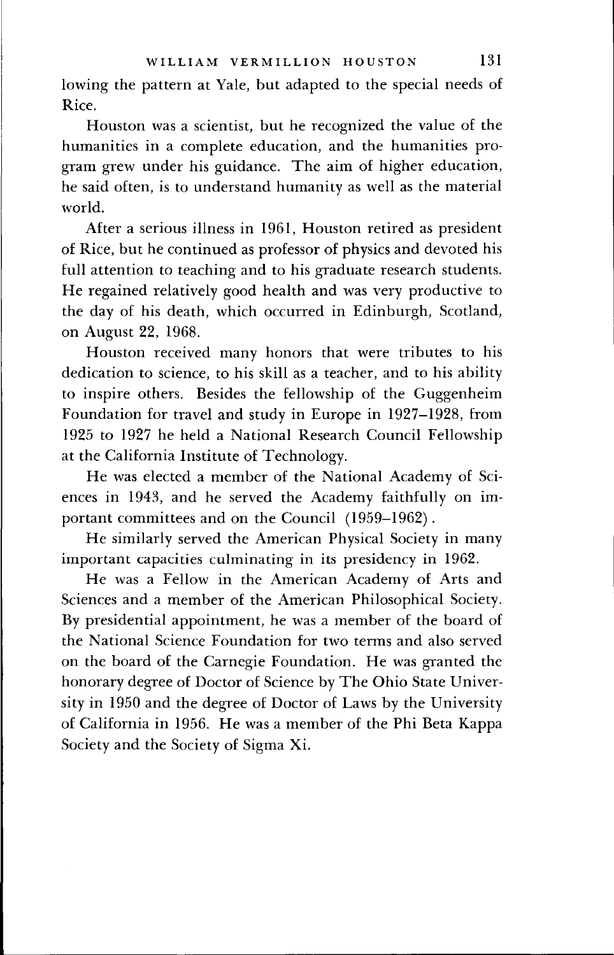lowing the pattern at Yale, but adapted to the special needs of Rice.

Houston was a scientist, but he recognized the value of the humanities in a complete education, and the humanities program grew under his guidance. The aim of higher education, he said often, is to understand humanity as well as the material world.

After a serious illness in 1961, Houston retired as president of Rice, but he continued as professor of physics and devoted his full attention to teaching and to his graduate research students. He regained relatively good health and was very productive to the day of his death, which occurred in Edinburgh, Scotland, on August 22, 1968.

Houston received many honors that were tributes to his dedication to science, to his skill as a teacher, and to his ability to inspire others. Besides the fellowship of the Guggenheim Foundation for travel and study in Europe in 1927—1928, from 1925 to 1927 he held a National Research Council Fellowship at the California Institute of Technology.

He was elected a member of the National Academy of Sciences in 1943, and he served the Academy faithfully on important committees and on the Council (1959-1962).

He similarly served the American Physical Society in many important capacities culminating in its presidency in 1962.

He was a Fellow in the American Academy of Arts and Sciences and a member of the American Philosophical Society. By presidential appointment, he was a member of the board of the National Science Foundation for two terms and also served on the board of the Carnegie Foundation. He was granted the honorary degree of Doctor of Science by The Ohio State University in 1950 and the degree of Doctor of Laws by the University of California in 1956. He was a member of the Phi Beta Kappa Society and the Society of Sigma Xi.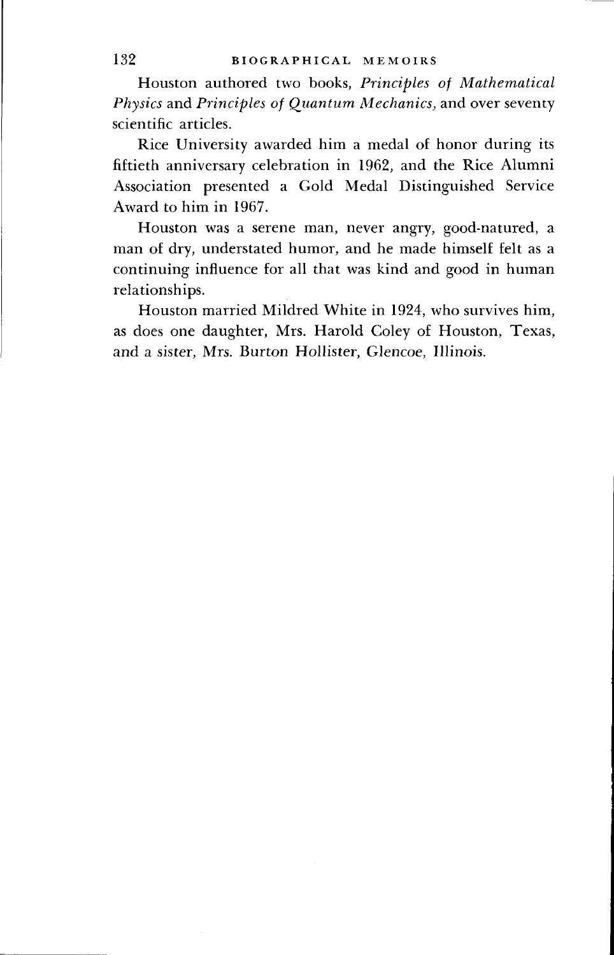Houston authored two books, *Principles of Mathematical Physics* and *Principles of Quantum Mechanics,* and over seventy scientific articles.

Rice University awarded him a medal of honor during its fiftieth anniversary celebration in 1962, and the Rice Alumni Association presented a Gold Medal Distinguished Service Award to him in 1967.

Houston was a serene man, never angry, good-natured, a man of dry, understated humor, and he made himself felt as a continuing influence for all that was kind and good in human relationships.

Houston married Mildred White in 1924, who survives him, as does one daughter, Mrs. Harold Coley of Houston, Texas, and a sister, Mrs. Burton Hollister, Glencoe, Illinois.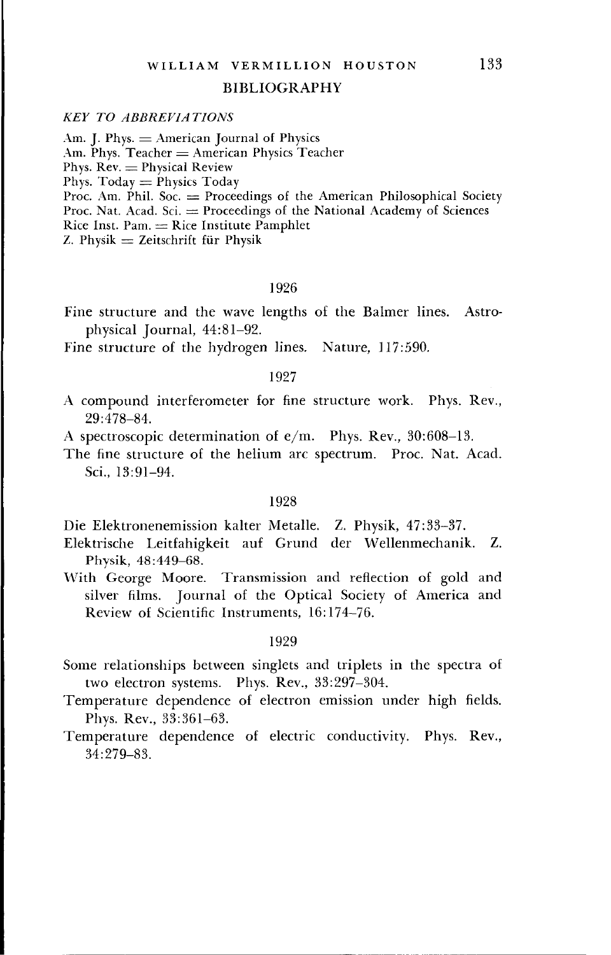#### BIBLIOGRAPHY

### *KEY TO ABBREVIATIONS*

Am. J. Phys.  $=$  American Journal of Physics Am. Phys.  $Teacher = American Physics Teacher$ Phys.  $Rev = Physical Review$ Phys.  $Today = Physics Today$ Proc. Am. Phil. Soc. = Proceedings of the American Philosophical Society Proc. Nat. Acad. Sci.  $=$  Proceedings of the National Academy of Sciences Rice Inst. Pam. — Rice Institute Pamphlet

 $Z$ . Physik  $=$  Zeitschrift für Physik

## 1926

Fine structure and the wave lengths of the Balmer lines. Astrophysical Journal, 44:81-92.

Fine structure of the hydrogen lines. Nature, 117:590.

## 1927

A compound interferometer for fine structure work. Phys. Rev., 29:478-84.

A spectroscopic determination of e/m. Phys. Rev., 30:608-13.

The fine structure of the helium arc spectrum. Proc. Nat. Acad. Sci., 13:91-94.

## 1928

Die Elektronenemission kalter Metalle. Z. Physik, 47:33-37.

- Elektrische Leitfahigkeit auf Grund der Wellenmechanik. Z. Physik, 48:449-68.
- With George Moore. Transmission and reflection of gold and silver films. Journal of the Optical Society of America and Review of Scientific Instruments, 16:174-76.

#### 1929

- Some relationships between singlets and triplets in the spectra of two electron systems. Phys. Rev., 33:297-304.
- Temperature dependence of electron emission under high fields. Phys. Rev., 33:361-63.
- Temperature dependence of electric conductivity. Phys. Rev., 34:279-83.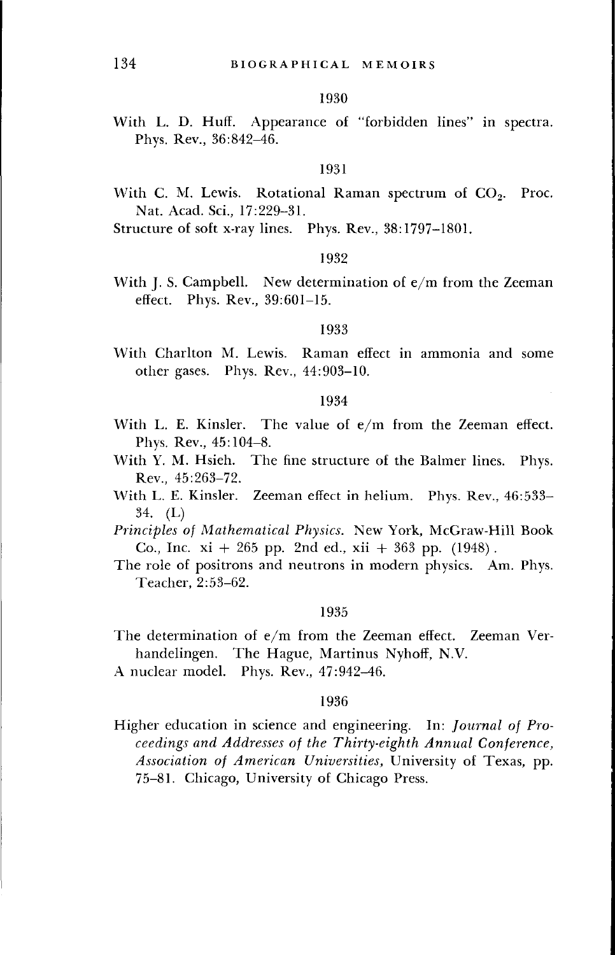#### 1930

With L. D. Huff. Appearance of "forbidden lines" in spectra. Phys. Rev., 36:842-46.

#### 1931

- With C. M. Lewis. Rotational Raman spectrum of  $CO<sub>2</sub>$ . Proc. Nat. Acad. Sci., 17:229-31.
- Structure of soft x-ray lines. Phys. Rev., 38:1797-1801.

#### 1932

With J. S. Campbell. New determination of e/m from the Zeeman effect. Phys. Rev., 39:601-15.

## 1933

With Charlton M. Lewis. Raman effect in ammonia and some other gases. Phys. Rev., 44:903-10.

#### 1934

- With L. E. Kinsler. The value of e/m from the Zeeman effect. Phys. Rev., 45:104-8.
- With Y. M. Hsieh. The fine structure of the Balmer lines. Phys. Rev., 45:263-72.
- With L. E. Kinsler. Zeeman effect in helium. Phys. Rev., 46:533- 34. (L)
- *Principles of Mathematical Physics.* New York, McGraw-Hill Book Co., Inc.  $xi + 265$  pp. 2nd ed.,  $xii + 363$  pp. (1948).
- The role of positrons and neutrons in modern physics. Am. Phys. Teacher, 2:53-62.

#### 1935

- The determination of e/m from the Zeeman effect. Zeeman Verhandelingen. The Hague, Martinus Nyhoff, N.V.
- A nuclear model. Phys. Rev., 47:942-46.

#### 1936

Higher education in science and engineering. In: *Journal of Proceedings and Addresses of the Thirty-eighth Annual Conference, Association of American Universities,* University of Texas, pp. 75-81. Chicago, University of Chicago Press.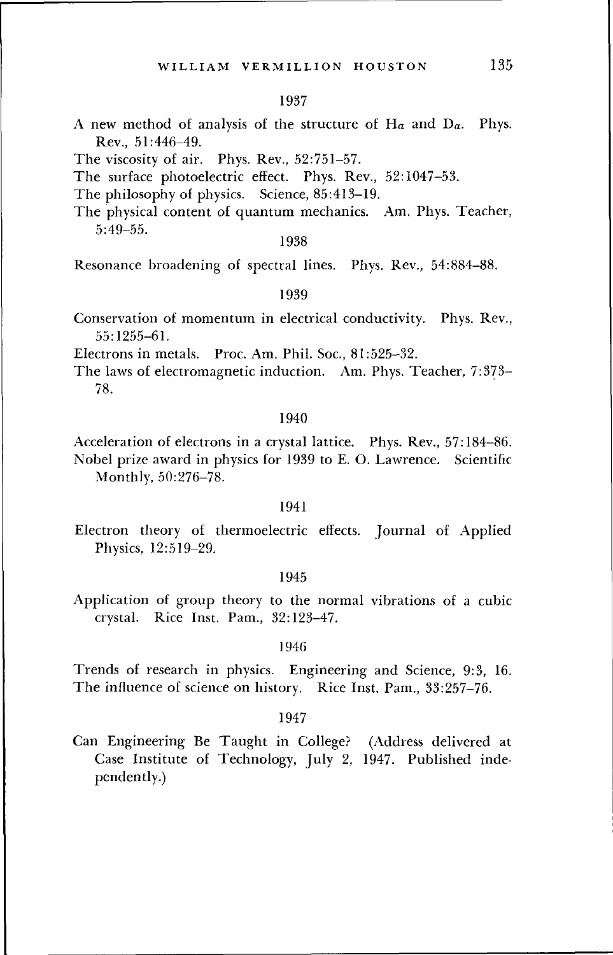#### 1937

- A new method of analysis of the structure of  $H_a$  and  $D_a$ . Phys. Rev., 51:446-49.
- The viscosity of air. Phys. Rev., 52:751-57.
- The surface photoelectric effect. Phys. Rev., 52:1047-53.
- The philosophy of physics. Science, 85:413-19.
- The physical content of quantum mechanics. Am. Phys. Teacher, 5:49-55.

#### 1938

Resonance broadening of spectral lines. Phys. Rev., 54:884-88.

#### 1939

Conservation of momentum in electrical conductivity. Phys. Rev., 55:1255-61.

Electrons in metals. Proc. Am. Phil. Soc, 81:525-32.

The laws of electromagnetic induction. Am. Phys. Teacher, 7:373- 78.

#### 1940

Acceleration of electrons in a crystal lattice. Phys. Rev., 57:184-86. Nobel prize award in physics for 1939 to E. O. Lawrence. Scientific Monthly, 50:276-78.

#### 1941

Electron theory of thermoelectric effects. Journal of Applied Physics, 12:519-29.

#### 1945

Application of group theory to the normal vibrations of a cubic crystal. Rice Inst. Pam., 32:123-47.

## 1946

Trends of research in physics. Engineering and Science, 9:3, 16. The influence of science on history. Rice Inst. Pam., 33:257-76.

#### 1947

Can Engineering Be Taught in College? (Address delivered at Case Institute of Technology, July 2, 1947. Published independently.)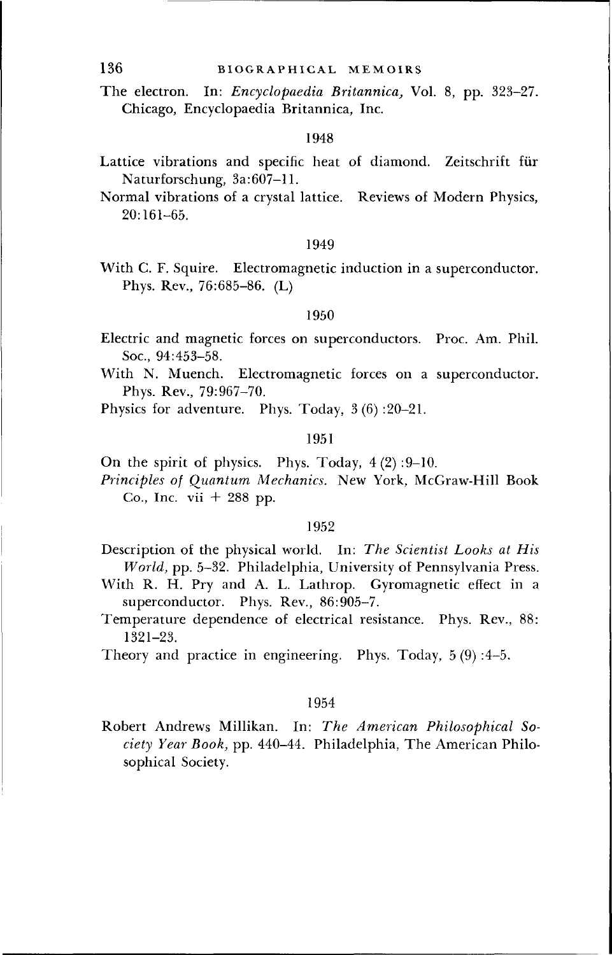The electron. In: *Encyclopaedia Britannica,* Vol. 8, pp. 323-27. Chicago, Encyclopaedia Britannica, Inc.

#### 1948

- Lattice vibrations and specific heat of diamond. Zeitschrift fiir Naturforschung, 3a:607-11.
- Normal vibrations of a crystal lattice. Reviews of Modern Physics, 20:161-65.

#### 1949

With C. F. Squire. Electromagnetic induction in a superconductor. Phys. Rev., 76:685-86. (L)

#### 1950

- Electric and magnetic forces on superconductors. Proc. Am. Phil. Soc, 94:453-58.
- With N. Muench. Electromagnetic forces on a superconductor. Phys. Rev, 79:967-70.
- Physics for adventure. Phys. Today, 3(6) :20-21.

## 1951

- On the spirit of physics. Phys. Today,  $4(2):9-10$ .
- *Principles of Quantum Mechanics.* New York, McGraw-Hill Book Co., Inc. vii  $+288$  pp.

#### 1952

- Description of the physical world. In: *The Scientist Looks at His World,* pp. 5-32. Philadelphia, University of Pennsylvania Press.
- With R. H. Pry and A. L. Lathrop. Gyromagnetic effect in a superconductor. Phys. Rev., 86:905-7.
- Temperature dependence of electrical resistance. Phys. Rev, 88: 1321-23.
- Theory and practice in engineering. Phys. Today, 5 (9) :4-5.

## 1954

Robert Andrews Millikan. In: *The American Philosophical Society Year Book,* pp. 440-44. Philadelphia, The American Philosophical Society.